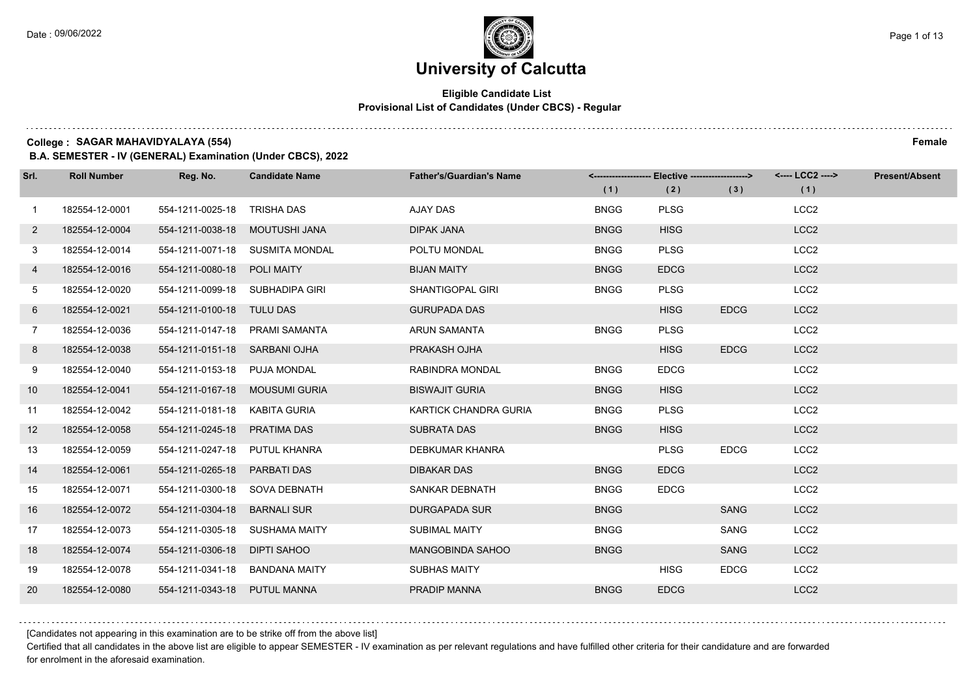$1.111$ 

# **University of Calcutta**

### **Eligible Candidate List Provisional List of Candidates (Under CBCS) - Regular**

**College : SAGAR MAHAVIDYALAYA (554) Female**

**B.A. SEMESTER - IV (GENERAL) Examination (Under CBCS), 2022**

| Srl.         | <b>Roll Number</b> | Reg. No.                        | <b>Candidate Name</b>           | <b>Father's/Guardian's Name</b> |             | <-------------------- Elective ------------------> |             | <---- LCC2 ----> | <b>Present/Absent</b> |
|--------------|--------------------|---------------------------------|---------------------------------|---------------------------------|-------------|----------------------------------------------------|-------------|------------------|-----------------------|
|              |                    |                                 |                                 |                                 | (1)         | (2)                                                | (3)         | (1)              |                       |
| $\mathbf{1}$ | 182554-12-0001     | 554-1211-0025-18 TRISHA DAS     |                                 | AJAY DAS                        | <b>BNGG</b> | <b>PLSG</b>                                        |             | LCC <sub>2</sub> |                       |
| $\mathbf{2}$ | 182554-12-0004     | 554-1211-0038-18 MOUTUSHI JANA  |                                 | <b>DIPAK JANA</b>               | <b>BNGG</b> | <b>HISG</b>                                        |             | LCC <sub>2</sub> |                       |
| 3            | 182554-12-0014     |                                 | 554-1211-0071-18 SUSMITA MONDAL | POLTU MONDAL                    | <b>BNGG</b> | <b>PLSG</b>                                        |             | LCC <sub>2</sub> |                       |
| 4            | 182554-12-0016     | 554-1211-0080-18 POLI MAITY     |                                 | <b>BIJAN MAITY</b>              | <b>BNGG</b> | <b>EDCG</b>                                        |             | LCC <sub>2</sub> |                       |
| 5            | 182554-12-0020     | 554-1211-0099-18 SUBHADIPA GIRI |                                 | <b>SHANTIGOPAL GIRI</b>         | <b>BNGG</b> | <b>PLSG</b>                                        |             | LCC <sub>2</sub> |                       |
| 6            | 182554-12-0021     | 554-1211-0100-18 TULU DAS       |                                 | <b>GURUPADA DAS</b>             |             | <b>HISG</b>                                        | <b>EDCG</b> | LCC <sub>2</sub> |                       |
| $7^{\circ}$  | 182554-12-0036     | 554-1211-0147-18 PRAMI SAMANTA  |                                 | <b>ARUN SAMANTA</b>             | <b>BNGG</b> | <b>PLSG</b>                                        |             | LCC <sub>2</sub> |                       |
| 8            | 182554-12-0038     | 554-1211-0151-18 SARBANI OJHA   |                                 | PRAKASH OJHA                    |             | <b>HISG</b>                                        | <b>EDCG</b> | LCC <sub>2</sub> |                       |
| 9            | 182554-12-0040     | 554-1211-0153-18 PUJA MONDAL    |                                 | RABINDRA MONDAL                 | <b>BNGG</b> | <b>EDCG</b>                                        |             | LCC <sub>2</sub> |                       |
| 10           | 182554-12-0041     | 554-1211-0167-18 MOUSUMI GURIA  |                                 | <b>BISWAJIT GURIA</b>           | <b>BNGG</b> | <b>HISG</b>                                        |             | LCC <sub>2</sub> |                       |
| 11           | 182554-12-0042     | 554-1211-0181-18 KABITA GURIA   |                                 | KARTICK CHANDRA GURIA           | <b>BNGG</b> | <b>PLSG</b>                                        |             | LCC <sub>2</sub> |                       |
| 12           | 182554-12-0058     | 554-1211-0245-18 PRATIMA DAS    |                                 | <b>SUBRATA DAS</b>              | <b>BNGG</b> | <b>HISG</b>                                        |             | LCC <sub>2</sub> |                       |
| 13           | 182554-12-0059     | 554-1211-0247-18 PUTUL KHANRA   |                                 | DEBKUMAR KHANRA                 |             | <b>PLSG</b>                                        | <b>EDCG</b> | LCC <sub>2</sub> |                       |
| 14           | 182554-12-0061     | 554-1211-0265-18 PARBATI DAS    |                                 | <b>DIBAKAR DAS</b>              | <b>BNGG</b> | <b>EDCG</b>                                        |             | LCC <sub>2</sub> |                       |
| 15           | 182554-12-0071     | 554-1211-0300-18 SOVA DEBNATH   |                                 | SANKAR DEBNATH                  | <b>BNGG</b> | <b>EDCG</b>                                        |             | LCC <sub>2</sub> |                       |
| 16           | 182554-12-0072     | 554-1211-0304-18                | <b>BARNALI SUR</b>              | <b>DURGAPADA SUR</b>            | <b>BNGG</b> |                                                    | <b>SANG</b> | LCC <sub>2</sub> |                       |
| 17           | 182554-12-0073     | 554-1211-0305-18                | SUSHAMA MAITY                   | <b>SUBIMAL MAITY</b>            | <b>BNGG</b> |                                                    | SANG        | LCC <sub>2</sub> |                       |
| 18           | 182554-12-0074     | 554-1211-0306-18 DIPTI SAHOO    |                                 | <b>MANGOBINDA SAHOO</b>         | <b>BNGG</b> |                                                    | <b>SANG</b> | LCC <sub>2</sub> |                       |
| 19           | 182554-12-0078     | 554-1211-0341-18 BANDANA MAITY  |                                 | <b>SUBHAS MAITY</b>             |             | <b>HISG</b>                                        | <b>EDCG</b> | LCC <sub>2</sub> |                       |
| 20           | 182554-12-0080     | 554-1211-0343-18 PUTUL MANNA    |                                 | PRADIP MANNA                    | <b>BNGG</b> | <b>EDCG</b>                                        |             | LCC <sub>2</sub> |                       |

[Candidates not appearing in this examination are to be strike off from the above list]

Certified that all candidates in the above list are eligible to appear SEMESTER - IV examination as per relevant regulations and have fulfilled other criteria for their candidature and are forwarded for enrolment in the aforesaid examination.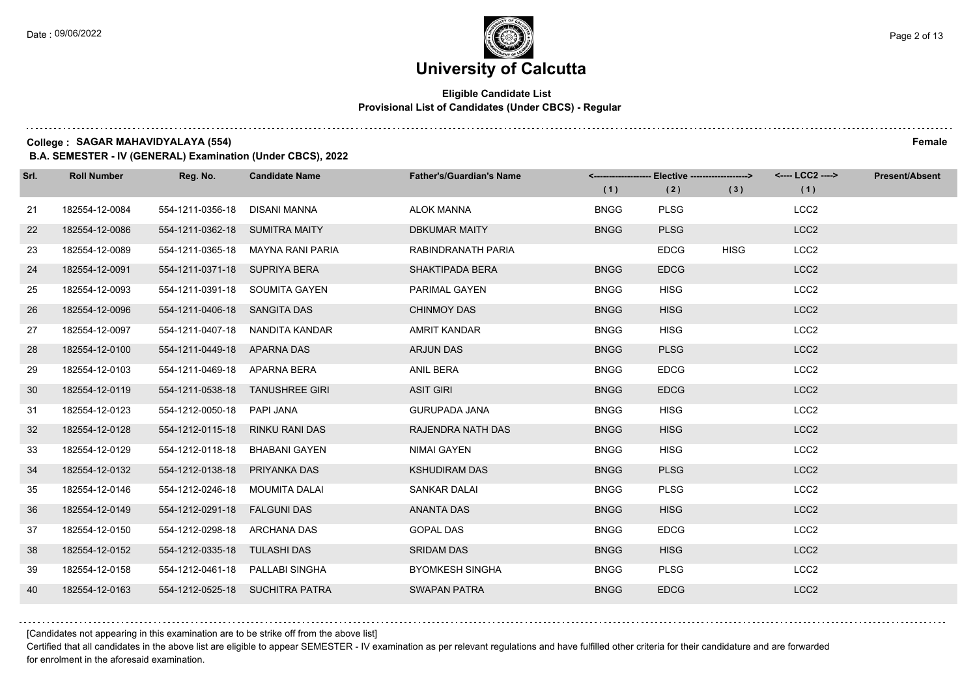### **Eligible Candidate List Provisional List of Candidates (Under CBCS) - Regular**

**College : SAGAR MAHAVIDYALAYA (554) Female**

**B.A. SEMESTER - IV (GENERAL) Examination (Under CBCS), 2022**

| Srl. | <b>Roll Number</b> | Reg. No.                        | <b>Candidate Name</b>             | <b>Father's/Guardian's Name</b> | (1)         | <-------------------- Elective ------------------><br>(2) | (3)         | <---- LCC2 ----><br>(1) | <b>Present/Absent</b> |
|------|--------------------|---------------------------------|-----------------------------------|---------------------------------|-------------|-----------------------------------------------------------|-------------|-------------------------|-----------------------|
| 21   | 182554-12-0084     | 554-1211-0356-18                | DISANI MANNA                      | <b>ALOK MANNA</b>               | <b>BNGG</b> | <b>PLSG</b>                                               |             | LCC <sub>2</sub>        |                       |
| 22   | 182554-12-0086     | 554-1211-0362-18 SUMITRA MAITY  |                                   | <b>DBKUMAR MAITY</b>            | <b>BNGG</b> | <b>PLSG</b>                                               |             | LCC <sub>2</sub>        |                       |
| 23   | 182554-12-0089     |                                 | 554-1211-0365-18 MAYNA RANI PARIA | RABINDRANATH PARIA              |             | <b>EDCG</b>                                               | <b>HISG</b> | LCC <sub>2</sub>        |                       |
| 24   | 182554-12-0091     | 554-1211-0371-18 SUPRIYA BERA   |                                   | <b>SHAKTIPADA BERA</b>          | <b>BNGG</b> | <b>EDCG</b>                                               |             | LCC <sub>2</sub>        |                       |
| 25   | 182554-12-0093     |                                 | 554-1211-0391-18 SOUMITA GAYEN    | PARIMAL GAYEN                   | <b>BNGG</b> | <b>HISG</b>                                               |             | LCC <sub>2</sub>        |                       |
| 26   | 182554-12-0096     | 554-1211-0406-18 SANGITA DAS    |                                   | <b>CHINMOY DAS</b>              | <b>BNGG</b> | <b>HISG</b>                                               |             | LCC <sub>2</sub>        |                       |
| 27   | 182554-12-0097     |                                 | 554-1211-0407-18 NANDITA KANDAR   | <b>AMRIT KANDAR</b>             | <b>BNGG</b> | <b>HISG</b>                                               |             | LCC <sub>2</sub>        |                       |
| 28   | 182554-12-0100     | 554-1211-0449-18 APARNA DAS     |                                   | <b>ARJUN DAS</b>                | <b>BNGG</b> | <b>PLSG</b>                                               |             | LCC <sub>2</sub>        |                       |
| 29   | 182554-12-0103     | 554-1211-0469-18 APARNA BERA    |                                   | ANIL BERA                       | <b>BNGG</b> | <b>EDCG</b>                                               |             | LCC <sub>2</sub>        |                       |
| 30   | 182554-12-0119     |                                 | 554-1211-0538-18 TANUSHREE GIRI   | <b>ASIT GIRI</b>                | <b>BNGG</b> | <b>EDCG</b>                                               |             | LCC <sub>2</sub>        |                       |
| 31   | 182554-12-0123     | 554-1212-0050-18 PAPI JANA      |                                   | <b>GURUPADA JANA</b>            | <b>BNGG</b> | <b>HISG</b>                                               |             | LCC <sub>2</sub>        |                       |
| 32   | 182554-12-0128     | 554-1212-0115-18 RINKU RANI DAS |                                   | RAJENDRA NATH DAS               | <b>BNGG</b> | <b>HISG</b>                                               |             | LCC <sub>2</sub>        |                       |
| 33   | 182554-12-0129     | 554-1212-0118-18                | <b>BHABANI GAYEN</b>              | <b>NIMAI GAYEN</b>              | <b>BNGG</b> | <b>HISG</b>                                               |             | LCC <sub>2</sub>        |                       |
| 34   | 182554-12-0132     | 554-1212-0138-18                | PRIYANKA DAS                      | <b>KSHUDIRAM DAS</b>            | <b>BNGG</b> | <b>PLSG</b>                                               |             | LCC <sub>2</sub>        |                       |
| 35   | 182554-12-0146     | 554-1212-0246-18 MOUMITA DALAI  |                                   | <b>SANKAR DALAI</b>             | <b>BNGG</b> | <b>PLSG</b>                                               |             | LCC <sub>2</sub>        |                       |
| 36   | 182554-12-0149     | 554-1212-0291-18                | <b>FALGUNI DAS</b>                | <b>ANANTA DAS</b>               | <b>BNGG</b> | <b>HISG</b>                                               |             | LCC <sub>2</sub>        |                       |
| 37   | 182554-12-0150     | 554-1212-0298-18                | ARCHANA DAS                       | <b>GOPAL DAS</b>                | <b>BNGG</b> | <b>EDCG</b>                                               |             | LCC <sub>2</sub>        |                       |
| 38   | 182554-12-0152     | 554-1212-0335-18 TULASHI DAS    |                                   | <b>SRIDAM DAS</b>               | <b>BNGG</b> | <b>HISG</b>                                               |             | LCC <sub>2</sub>        |                       |
| 39   | 182554-12-0158     | 554-1212-0461-18 PALLABI SINGHA |                                   | <b>BYOMKESH SINGHA</b>          | <b>BNGG</b> | <b>PLSG</b>                                               |             | LCC <sub>2</sub>        |                       |
| 40   | 182554-12-0163     |                                 | 554-1212-0525-18 SUCHITRA PATRA   | <b>SWAPAN PATRA</b>             | <b>BNGG</b> | <b>EDCG</b>                                               |             | LCC <sub>2</sub>        |                       |

[Candidates not appearing in this examination are to be strike off from the above list]

Certified that all candidates in the above list are eligible to appear SEMESTER - IV examination as per relevant regulations and have fulfilled other criteria for their candidature and are forwarded for enrolment in the aforesaid examination.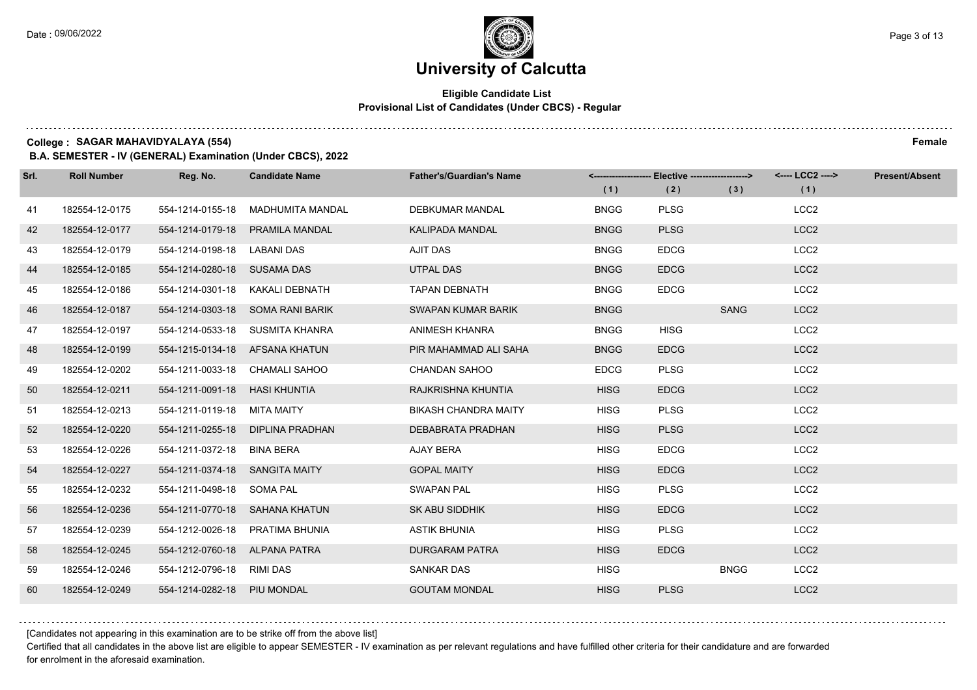### **Eligible Candidate List Provisional List of Candidates (Under CBCS) - Regular**

**College : SAGAR MAHAVIDYALAYA (554) Female**

**B.A. SEMESTER - IV (GENERAL) Examination (Under CBCS), 2022**

| Srl. | <b>Roll Number</b> | Reg. No.                       | <b>Candidate Name</b>            | <b>Father's/Guardian's Name</b> | (1)         | <-------------------- Elective ------------------><br>(2) | (3)         | <---- LCC2 ----><br>(1) | <b>Present/Absent</b> |
|------|--------------------|--------------------------------|----------------------------------|---------------------------------|-------------|-----------------------------------------------------------|-------------|-------------------------|-----------------------|
| 41   | 182554-12-0175     | 554-1214-0155-18               | MADHUMITA MANDAL                 | <b>DEBKUMAR MANDAL</b>          | <b>BNGG</b> | <b>PLSG</b>                                               |             | LCC <sub>2</sub>        |                       |
| 42   | 182554-12-0177     | 554-1214-0179-18               | <b>PRAMILA MANDAL</b>            | <b>KALIPADA MANDAL</b>          | <b>BNGG</b> | <b>PLSG</b>                                               |             | LCC <sub>2</sub>        |                       |
| 43   | 182554-12-0179     | 554-1214-0198-18 LABANI DAS    |                                  | AJIT DAS                        | <b>BNGG</b> | <b>EDCG</b>                                               |             | LCC <sub>2</sub>        |                       |
| 44   | 182554-12-0185     | 554-1214-0280-18 SUSAMA DAS    |                                  | <b>UTPAL DAS</b>                | <b>BNGG</b> | <b>EDCG</b>                                               |             | LCC <sub>2</sub>        |                       |
| 45   | 182554-12-0186     | 554-1214-0301-18               | KAKALI DEBNATH                   | <b>TAPAN DEBNATH</b>            | <b>BNGG</b> | <b>EDCG</b>                                               |             | LCC <sub>2</sub>        |                       |
| 46   | 182554-12-0187     |                                | 554-1214-0303-18 SOMA RANI BARIK | SWAPAN KUMAR BARIK              | <b>BNGG</b> |                                                           | <b>SANG</b> | LCC <sub>2</sub>        |                       |
| 47   | 182554-12-0197     |                                | 554-1214-0533-18 SUSMITA KHANRA  | ANIMESH KHANRA                  | <b>BNGG</b> | <b>HISG</b>                                               |             | LCC <sub>2</sub>        |                       |
| 48   | 182554-12-0199     |                                | 554-1215-0134-18 AFSANA KHATUN   | PIR MAHAMMAD ALI SAHA           | <b>BNGG</b> | <b>EDCG</b>                                               |             | LCC <sub>2</sub>        |                       |
| 49   | 182554-12-0202     |                                | 554-1211-0033-18 CHAMALI SAHOO   | <b>CHANDAN SAHOO</b>            | <b>EDCG</b> | <b>PLSG</b>                                               |             | LCC <sub>2</sub>        |                       |
| 50   | 182554-12-0211     | 554-1211-0091-18 HASI KHUNTIA  |                                  | RAJKRISHNA KHUNTIA              | <b>HISG</b> | <b>EDCG</b>                                               |             | LCC <sub>2</sub>        |                       |
| 51   | 182554-12-0213     | 554-1211-0119-18 MITA MAITY    |                                  | <b>BIKASH CHANDRA MAITY</b>     | <b>HISG</b> | <b>PLSG</b>                                               |             | LCC <sub>2</sub>        |                       |
| 52   | 182554-12-0220     |                                | 554-1211-0255-18 DIPLINA PRADHAN | DEBABRATA PRADHAN               | <b>HISG</b> | <b>PLSG</b>                                               |             | LCC <sub>2</sub>        |                       |
| 53   | 182554-12-0226     | 554-1211-0372-18 BINA BERA     |                                  | AJAY BERA                       | <b>HISG</b> | <b>EDCG</b>                                               |             | LCC <sub>2</sub>        |                       |
| 54   | 182554-12-0227     | 554-1211-0374-18 SANGITA MAITY |                                  | <b>GOPAL MAITY</b>              | <b>HISG</b> | <b>EDCG</b>                                               |             | LCC <sub>2</sub>        |                       |
| 55   | 182554-12-0232     | 554-1211-0498-18 SOMA PAL      |                                  | <b>SWAPAN PAL</b>               | <b>HISG</b> | <b>PLSG</b>                                               |             | LCC <sub>2</sub>        |                       |
| 56   | 182554-12-0236     |                                | 554-1211-0770-18 SAHANA KHATUN   | SK ABU SIDDHIK                  | <b>HISG</b> | <b>EDCG</b>                                               |             | LCC <sub>2</sub>        |                       |
| 57   | 182554-12-0239     |                                | 554-1212-0026-18 PRATIMA BHUNIA  | <b>ASTIK BHUNIA</b>             | <b>HISG</b> | <b>PLSG</b>                                               |             | LCC <sub>2</sub>        |                       |
| 58   | 182554-12-0245     | 554-1212-0760-18 ALPANA PATRA  |                                  | <b>DURGARAM PATRA</b>           | <b>HISG</b> | <b>EDCG</b>                                               |             | LCC <sub>2</sub>        |                       |
| 59   | 182554-12-0246     | 554-1212-0796-18 RIMI DAS      |                                  | <b>SANKAR DAS</b>               | <b>HISG</b> |                                                           | <b>BNGG</b> | LCC <sub>2</sub>        |                       |
| 60   | 182554-12-0249     | 554-1214-0282-18 PIU MONDAL    |                                  | <b>GOUTAM MONDAL</b>            | <b>HISG</b> | <b>PLSG</b>                                               |             | LCC <sub>2</sub>        |                       |

[Candidates not appearing in this examination are to be strike off from the above list]

Certified that all candidates in the above list are eligible to appear SEMESTER - IV examination as per relevant regulations and have fulfilled other criteria for their candidature and are forwarded for enrolment in the aforesaid examination.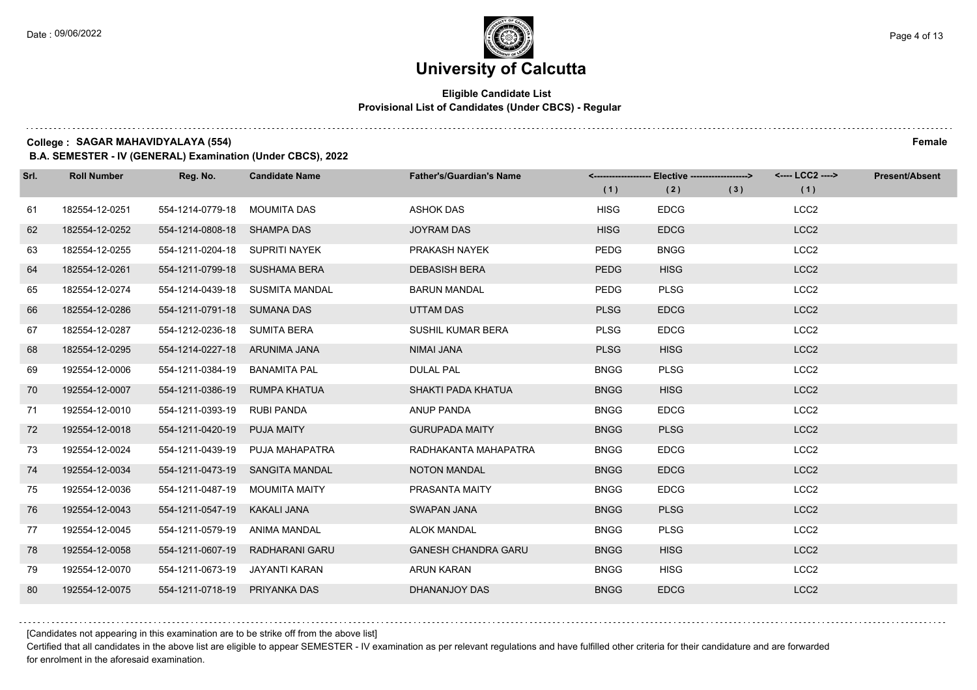### **Eligible Candidate List Provisional List of Candidates (Under CBCS) - Regular**

**College : SAGAR MAHAVIDYALAYA (554) Female**

**B.A. SEMESTER - IV (GENERAL) Examination (Under CBCS), 2022**

| Srl. | <b>Roll Number</b> | Reg. No.                       | <b>Candidate Name</b>           | <b>Father's/Guardian's Name</b> | (1)         | <-------------------- Elective -------------------><br>(2) | (3) | <---- LCC2 ----><br>(1) | <b>Present/Absent</b> |
|------|--------------------|--------------------------------|---------------------------------|---------------------------------|-------------|------------------------------------------------------------|-----|-------------------------|-----------------------|
| 61   | 182554-12-0251     | 554-1214-0779-18               | MOUMITA DAS                     | ASHOK DAS                       | <b>HISG</b> | <b>EDCG</b>                                                |     | LCC <sub>2</sub>        |                       |
| 62   | 182554-12-0252     | 554-1214-0808-18 SHAMPA DAS    |                                 | <b>JOYRAM DAS</b>               | <b>HISG</b> | <b>EDCG</b>                                                |     | LCC <sub>2</sub>        |                       |
| 63   | 182554-12-0255     | 554-1211-0204-18 SUPRITI NAYEK |                                 | PRAKASH NAYEK                   | <b>PEDG</b> | <b>BNGG</b>                                                |     | LCC <sub>2</sub>        |                       |
| 64   | 182554-12-0261     | 554-1211-0799-18 SUSHAMA BERA  |                                 | <b>DEBASISH BERA</b>            | <b>PEDG</b> | <b>HISG</b>                                                |     | LCC <sub>2</sub>        |                       |
| 65   | 182554-12-0274     |                                | 554-1214-0439-18 SUSMITA MANDAL | <b>BARUN MANDAL</b>             | <b>PEDG</b> | <b>PLSG</b>                                                |     | LCC <sub>2</sub>        |                       |
| 66   | 182554-12-0286     | 554-1211-0791-18 SUMANA DAS    |                                 | UTTAM DAS                       | <b>PLSG</b> | <b>EDCG</b>                                                |     | LCC <sub>2</sub>        |                       |
| 67   | 182554-12-0287     | 554-1212-0236-18 SUMITA BERA   |                                 | SUSHIL KUMAR BERA               | <b>PLSG</b> | <b>EDCG</b>                                                |     | LCC <sub>2</sub>        |                       |
| 68   | 182554-12-0295     | 554-1214-0227-18 ARUNIMA JANA  |                                 | NIMAI JANA                      | <b>PLSG</b> | <b>HISG</b>                                                |     | LCC <sub>2</sub>        |                       |
| 69   | 192554-12-0006     | 554-1211-0384-19               | BANAMITA PAL                    | <b>DULAL PAL</b>                | <b>BNGG</b> | <b>PLSG</b>                                                |     | LCC <sub>2</sub>        |                       |
| 70   | 192554-12-0007     | 554-1211-0386-19               | RUMPA KHATUA                    | SHAKTI PADA KHATUA              | <b>BNGG</b> | <b>HISG</b>                                                |     | LCC <sub>2</sub>        |                       |
| 71   | 192554-12-0010     | 554-1211-0393-19               | <b>RUBI PANDA</b>               | ANUP PANDA                      | <b>BNGG</b> | <b>EDCG</b>                                                |     | LCC <sub>2</sub>        |                       |
| 72   | 192554-12-0018     | 554-1211-0420-19               | <b>PUJA MAITY</b>               | <b>GURUPADA MAITY</b>           | <b>BNGG</b> | <b>PLSG</b>                                                |     | LCC <sub>2</sub>        |                       |
| 73   | 192554-12-0024     | 554-1211-0439-19               | PUJA MAHAPATRA                  | RADHAKANTA MAHAPATRA            | <b>BNGG</b> | <b>EDCG</b>                                                |     | LCC <sub>2</sub>        |                       |
| 74   | 192554-12-0034     | 554-1211-0473-19               | SANGITA MANDAL                  | <b>NOTON MANDAL</b>             | <b>BNGG</b> | <b>EDCG</b>                                                |     | LCC <sub>2</sub>        |                       |
| 75   | 192554-12-0036     | 554-1211-0487-19               | <b>MOUMITA MAITY</b>            | PRASANTA MAITY                  | <b>BNGG</b> | <b>EDCG</b>                                                |     | LCC <sub>2</sub>        |                       |
| 76   | 192554-12-0043     | 554-1211-0547-19               | KAKALI JANA                     | <b>SWAPAN JANA</b>              | <b>BNGG</b> | <b>PLSG</b>                                                |     | LCC <sub>2</sub>        |                       |
| 77   | 192554-12-0045     | 554-1211-0579-19               | <b>ANIMA MANDAL</b>             | <b>ALOK MANDAL</b>              | <b>BNGG</b> | <b>PLSG</b>                                                |     | LCC <sub>2</sub>        |                       |
| 78   | 192554-12-0058     | 554-1211-0607-19               | RADHARANI GARU                  | <b>GANESH CHANDRA GARU</b>      | <b>BNGG</b> | <b>HISG</b>                                                |     | LCC <sub>2</sub>        |                       |
| 79   | 192554-12-0070     | 554-1211-0673-19               | JAYANTI KARAN                   | <b>ARUN KARAN</b>               | <b>BNGG</b> | <b>HISG</b>                                                |     | LCC <sub>2</sub>        |                       |
| 80   | 192554-12-0075     | 554-1211-0718-19               | PRIYANKA DAS                    | DHANANJOY DAS                   | <b>BNGG</b> | <b>EDCG</b>                                                |     | LCC <sub>2</sub>        |                       |

[Candidates not appearing in this examination are to be strike off from the above list]

Certified that all candidates in the above list are eligible to appear SEMESTER - IV examination as per relevant regulations and have fulfilled other criteria for their candidature and are forwarded for enrolment in the aforesaid examination.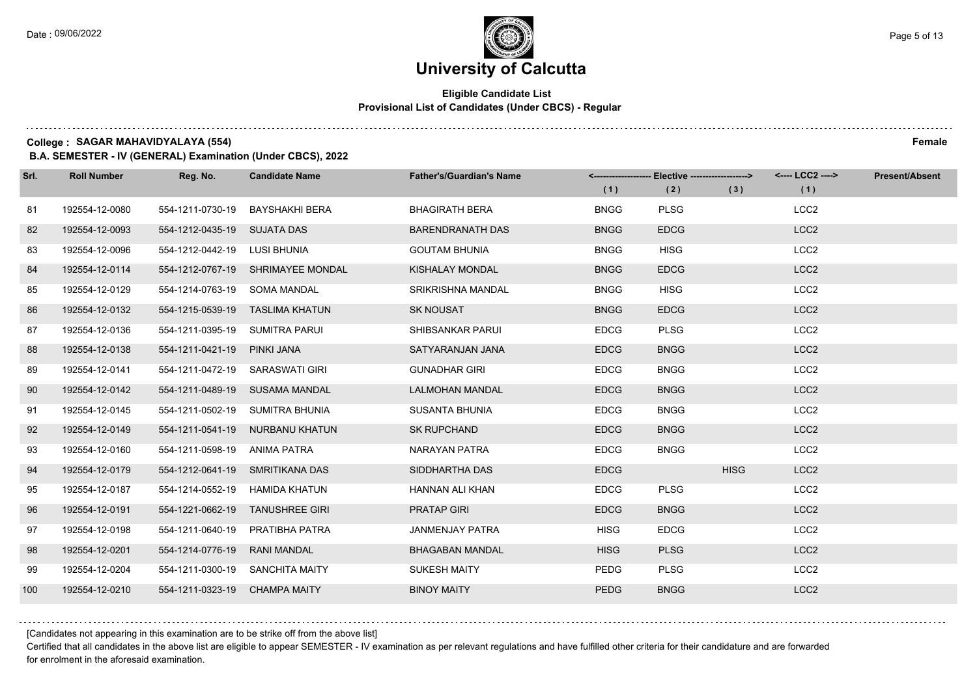### **Eligible Candidate List Provisional List of Candidates (Under CBCS) - Regular**

**College : SAGAR MAHAVIDYALAYA (554) Female**

**B.A. SEMESTER - IV (GENERAL) Examination (Under CBCS), 2022**

| Srl. | <b>Roll Number</b> | Reg. No.                        | <b>Candidate Name</b>             | <b>Father's/Guardian's Name</b> |             | <-------------------- Elective ------------------> |             | <---- LCC2 ----> | <b>Present/Absent</b> |
|------|--------------------|---------------------------------|-----------------------------------|---------------------------------|-------------|----------------------------------------------------|-------------|------------------|-----------------------|
|      |                    |                                 |                                   |                                 | (1)         | (2)                                                | (3)         | (1)              |                       |
| 81   | 192554-12-0080     | 554-1211-0730-19                | <b>BAYSHAKHI BERA</b>             | <b>BHAGIRATH BERA</b>           | <b>BNGG</b> | <b>PLSG</b>                                        |             | LCC <sub>2</sub> |                       |
| 82   | 192554-12-0093     | 554-1212-0435-19 SUJATA DAS     |                                   | <b>BARENDRANATH DAS</b>         | <b>BNGG</b> | <b>EDCG</b>                                        |             | LCC <sub>2</sub> |                       |
| 83   | 192554-12-0096     | 554-1212-0442-19 LUSI BHUNIA    |                                   | <b>GOUTAM BHUNIA</b>            | <b>BNGG</b> | <b>HISG</b>                                        |             | LCC <sub>2</sub> |                       |
| 84   | 192554-12-0114     |                                 | 554-1212-0767-19 SHRIMAYEE MONDAL | KISHALAY MONDAL                 | <b>BNGG</b> | <b>EDCG</b>                                        |             | LCC <sub>2</sub> |                       |
| 85   | 192554-12-0129     | 554-1214-0763-19                | <b>SOMA MANDAL</b>                | <b>SRIKRISHNA MANDAL</b>        | <b>BNGG</b> | <b>HISG</b>                                        |             | LCC <sub>2</sub> |                       |
| 86   | 192554-12-0132     |                                 | 554-1215-0539-19 TASLIMA KHATUN   | <b>SK NOUSAT</b>                | <b>BNGG</b> | <b>EDCG</b>                                        |             | LCC <sub>2</sub> |                       |
| 87   | 192554-12-0136     | 554-1211-0395-19 SUMITRA PARUI  |                                   | SHIBSANKAR PARUI                | <b>EDCG</b> | <b>PLSG</b>                                        |             | LCC <sub>2</sub> |                       |
| 88   | 192554-12-0138     | 554-1211-0421-19                | PINKI JANA                        | SATYARANJAN JANA                | <b>EDCG</b> | <b>BNGG</b>                                        |             | LCC <sub>2</sub> |                       |
| 89   | 192554-12-0141     | 554-1211-0472-19 SARASWATI GIRI |                                   | <b>GUNADHAR GIRI</b>            | <b>EDCG</b> | <b>BNGG</b>                                        |             | LCC <sub>2</sub> |                       |
| 90   | 192554-12-0142     |                                 | 554-1211-0489-19 SUSAMA MANDAL    | <b>LALMOHAN MANDAL</b>          | <b>EDCG</b> | <b>BNGG</b>                                        |             | LCC <sub>2</sub> |                       |
| 91   | 192554-12-0145     |                                 | 554-1211-0502-19 SUMITRA BHUNIA   | <b>SUSANTA BHUNIA</b>           | <b>EDCG</b> | <b>BNGG</b>                                        |             | LCC <sub>2</sub> |                       |
| 92   | 192554-12-0149     | 554-1211-0541-19                | NURBANU KHATUN                    | <b>SK RUPCHAND</b>              | <b>EDCG</b> | <b>BNGG</b>                                        |             | LCC <sub>2</sub> |                       |
| 93   | 192554-12-0160     | 554-1211-0598-19                | <b>ANIMA PATRA</b>                | NARAYAN PATRA                   | <b>EDCG</b> | <b>BNGG</b>                                        |             | LCC <sub>2</sub> |                       |
| 94   | 192554-12-0179     | 554-1212-0641-19 SMRITIKANA DAS |                                   | SIDDHARTHA DAS                  | <b>EDCG</b> |                                                    | <b>HISG</b> | LCC <sub>2</sub> |                       |
| 95   | 192554-12-0187     | 554-1214-0552-19                | HAMIDA KHATUN                     | HANNAN ALI KHAN                 | <b>EDCG</b> | <b>PLSG</b>                                        |             | LCC <sub>2</sub> |                       |
| 96   | 192554-12-0191     |                                 | 554-1221-0662-19 TANUSHREE GIRI   | <b>PRATAP GIRI</b>              | <b>EDCG</b> | <b>BNGG</b>                                        |             | LCC <sub>2</sub> |                       |
| 97   | 192554-12-0198     | 554-1211-0640-19                | PRATIBHA PATRA                    | <b>JANMENJAY PATRA</b>          | <b>HISG</b> | <b>EDCG</b>                                        |             | LCC <sub>2</sub> |                       |
| 98   | 192554-12-0201     | 554-1214-0776-19                | <b>RANI MANDAL</b>                | <b>BHAGABAN MANDAL</b>          | <b>HISG</b> | <b>PLSG</b>                                        |             | LCC <sub>2</sub> |                       |
| 99   | 192554-12-0204     |                                 | 554-1211-0300-19 SANCHITA MAITY   | <b>SUKESH MAITY</b>             | <b>PEDG</b> | <b>PLSG</b>                                        |             | LCC <sub>2</sub> |                       |
| 100  | 192554-12-0210     | 554-1211-0323-19                | <b>CHAMPA MAITY</b>               | <b>BINOY MAITY</b>              | <b>PEDG</b> | <b>BNGG</b>                                        |             | LCC <sub>2</sub> |                       |

[Candidates not appearing in this examination are to be strike off from the above list]

Certified that all candidates in the above list are eligible to appear SEMESTER - IV examination as per relevant regulations and have fulfilled other criteria for their candidature and are forwarded for enrolment in the aforesaid examination.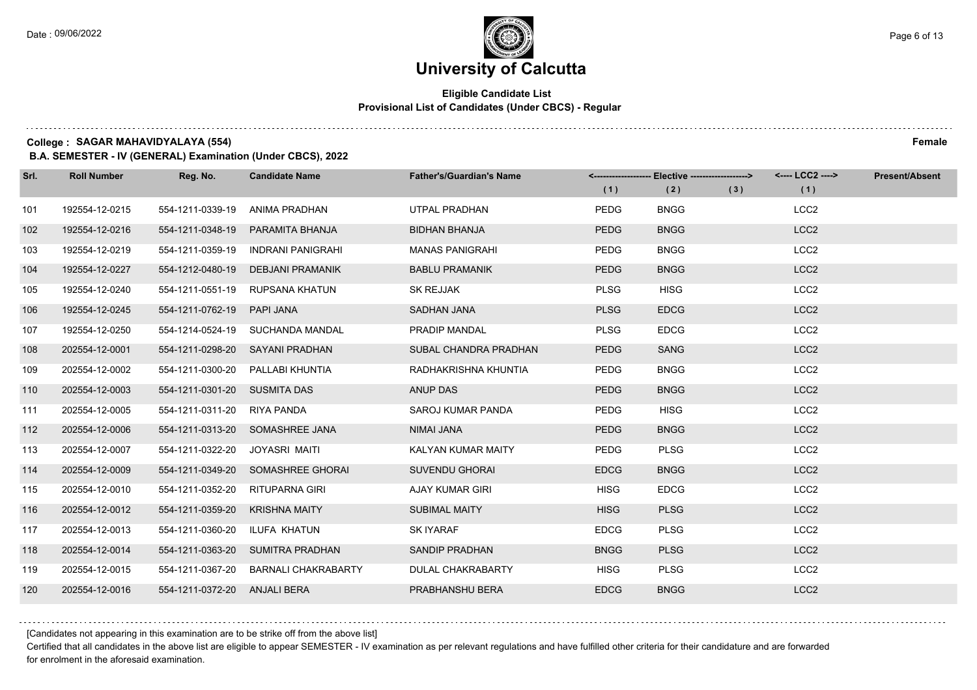### **Eligible Candidate List Provisional List of Candidates (Under CBCS) - Regular**

**College : SAGAR MAHAVIDYALAYA (554) Female**

**B.A. SEMESTER - IV (GENERAL) Examination (Under CBCS), 2022**

| Srl. | <b>Roll Number</b> | Reg. No.                     | <b>Candidate Name</b>             | <b>Father's/Guardian's Name</b> | (1)         | <-------------------- Elective ------------------><br>(2) | (3) | <---- LCC2 ----><br>(1) | <b>Present/Absent</b> |
|------|--------------------|------------------------------|-----------------------------------|---------------------------------|-------------|-----------------------------------------------------------|-----|-------------------------|-----------------------|
| 101  | 192554-12-0215     | 554-1211-0339-19             | ANIMA PRADHAN                     | UTPAL PRADHAN                   | <b>PEDG</b> | <b>BNGG</b>                                               |     | LCC <sub>2</sub>        |                       |
| 102  | 192554-12-0216     | 554-1211-0348-19             | PARAMITA BHANJA                   | <b>BIDHAN BHANJA</b>            | <b>PEDG</b> | <b>BNGG</b>                                               |     | LCC <sub>2</sub>        |                       |
| 103  | 192554-12-0219     | 554-1211-0359-19             | <b>INDRANI PANIGRAHI</b>          | <b>MANAS PANIGRAHI</b>          | <b>PEDG</b> | <b>BNGG</b>                                               |     | LCC <sub>2</sub>        |                       |
| 104  | 192554-12-0227     | 554-1212-0480-19             | DEBJANI PRAMANIK                  | <b>BABLU PRAMANIK</b>           | <b>PEDG</b> | <b>BNGG</b>                                               |     | LCC <sub>2</sub>        |                       |
| 105  | 192554-12-0240     | 554-1211-0551-19             | RUPSANA KHATUN                    | <b>SK REJJAK</b>                | <b>PLSG</b> | <b>HISG</b>                                               |     | LCC <sub>2</sub>        |                       |
| 106  | 192554-12-0245     | 554-1211-0762-19             | PAPI JANA                         | SADHAN JANA                     | <b>PLSG</b> | <b>EDCG</b>                                               |     | LCC <sub>2</sub>        |                       |
| 107  | 192554-12-0250     |                              | 554-1214-0524-19 SUCHANDA MANDAL  | PRADIP MANDAL                   | <b>PLSG</b> | <b>EDCG</b>                                               |     | LCC <sub>2</sub>        |                       |
| 108  | 202554-12-0001     |                              | 554-1211-0298-20 SAYANI PRADHAN   | SUBAL CHANDRA PRADHAN           | <b>PEDG</b> | <b>SANG</b>                                               |     | LCC <sub>2</sub>        |                       |
| 109  | 202554-12-0002     |                              | 554-1211-0300-20 PALLABI KHUNTIA  | RADHAKRISHNA KHUNTIA            | <b>PEDG</b> | <b>BNGG</b>                                               |     | LCC <sub>2</sub>        |                       |
| 110  | 202554-12-0003     | 554-1211-0301-20 SUSMITA DAS |                                   | <b>ANUP DAS</b>                 | <b>PEDG</b> | <b>BNGG</b>                                               |     | LCC <sub>2</sub>        |                       |
| 111  | 202554-12-0005     | 554-1211-0311-20 RIYA PANDA  |                                   | SAROJ KUMAR PANDA               | <b>PEDG</b> | <b>HISG</b>                                               |     | LCC <sub>2</sub>        |                       |
| 112  | 202554-12-0006     |                              | 554-1211-0313-20 SOMASHREE JANA   | <b>NIMAI JANA</b>               | <b>PEDG</b> | <b>BNGG</b>                                               |     | LCC <sub>2</sub>        |                       |
| 113  | 202554-12-0007     | 554-1211-0322-20             | JOYASRI MAITI                     | KALYAN KUMAR MAITY              | <b>PEDG</b> | <b>PLSG</b>                                               |     | LCC <sub>2</sub>        |                       |
| 114  | 202554-12-0009     |                              | 554-1211-0349-20 SOMASHREE GHORAI | <b>SUVENDU GHORAI</b>           | <b>EDCG</b> | <b>BNGG</b>                                               |     | LCC <sub>2</sub>        |                       |
| 115  | 202554-12-0010     | 554-1211-0352-20             | RITUPARNA GIRI                    | AJAY KUMAR GIRI                 | <b>HISG</b> | <b>EDCG</b>                                               |     | LCC <sub>2</sub>        |                       |
| 116  | 202554-12-0012     | 554-1211-0359-20             | <b>KRISHNA MAITY</b>              | <b>SUBIMAL MAITY</b>            | <b>HISG</b> | <b>PLSG</b>                                               |     | LCC <sub>2</sub>        |                       |
| 117  | 202554-12-0013     | 554-1211-0360-20             | ILUFA KHATUN                      | <b>SK IYARAF</b>                | <b>EDCG</b> | <b>PLSG</b>                                               |     | LCC <sub>2</sub>        |                       |
| 118  | 202554-12-0014     |                              | 554-1211-0363-20 SUMITRA PRADHAN  | SANDIP PRADHAN                  | <b>BNGG</b> | <b>PLSG</b>                                               |     | LCC <sub>2</sub>        |                       |
| 119  | 202554-12-0015     | 554-1211-0367-20             | <b>BARNALI CHAKRABARTY</b>        | <b>DULAL CHAKRABARTY</b>        | <b>HISG</b> | <b>PLSG</b>                                               |     | LCC <sub>2</sub>        |                       |
| 120  | 202554-12-0016     | 554-1211-0372-20 ANJALI BERA |                                   | PRABHANSHU BERA                 | <b>EDCG</b> | <b>BNGG</b>                                               |     | LCC <sub>2</sub>        |                       |

[Candidates not appearing in this examination are to be strike off from the above list]

Certified that all candidates in the above list are eligible to appear SEMESTER - IV examination as per relevant regulations and have fulfilled other criteria for their candidature and are forwarded for enrolment in the aforesaid examination.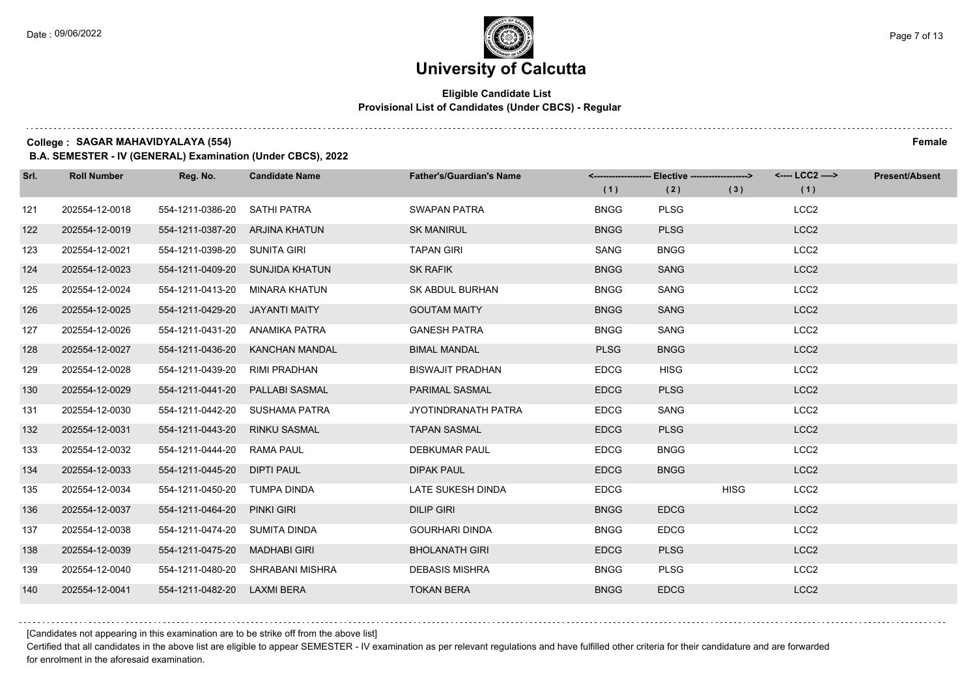### **Eligible Candidate List Provisional List of Candidates (Under CBCS) - Regular**

**College : SAGAR MAHAVIDYALAYA (554) Female**

**B.A. SEMESTER - IV (GENERAL) Examination (Under CBCS), 2022**

| Srl. | <b>Roll Number</b> | Reg. No.                       | <b>Candidate Name</b>            | <b>Father's/Guardian's Name</b> | (1)         | <-------------------- Elective ------------------><br>(2) | (3)         | <---- LCC2 ----><br>(1) | <b>Present/Absent</b> |
|------|--------------------|--------------------------------|----------------------------------|---------------------------------|-------------|-----------------------------------------------------------|-------------|-------------------------|-----------------------|
| 121  | 202554-12-0018     | 554-1211-0386-20 SATHI PATRA   |                                  | <b>SWAPAN PATRA</b>             | <b>BNGG</b> | <b>PLSG</b>                                               |             | LCC <sub>2</sub>        |                       |
| 122  | 202554-12-0019     | 554-1211-0387-20 ARJINA KHATUN |                                  | <b>SK MANIRUL</b>               | <b>BNGG</b> | <b>PLSG</b>                                               |             | LCC <sub>2</sub>        |                       |
| 123  | 202554-12-0021     | 554-1211-0398-20 SUNITA GIRI   |                                  | <b>TAPAN GIRI</b>               | <b>SANG</b> | <b>BNGG</b>                                               |             | LCC <sub>2</sub>        |                       |
| 124  | 202554-12-0023     |                                | 554-1211-0409-20 SUNJIDA KHATUN  | <b>SK RAFIK</b>                 | <b>BNGG</b> | <b>SANG</b>                                               |             | LCC <sub>2</sub>        |                       |
| 125  | 202554-12-0024     | 554-1211-0413-20               | MINARA KHATUN                    | SK ABDUL BURHAN                 | <b>BNGG</b> | <b>SANG</b>                                               |             | LCC <sub>2</sub>        |                       |
| 126  | 202554-12-0025     | 554-1211-0429-20               | <b>JAYANTI MAITY</b>             | <b>GOUTAM MAITY</b>             | <b>BNGG</b> | SANG                                                      |             | LCC <sub>2</sub>        |                       |
| 127  | 202554-12-0026     | 554-1211-0431-20 ANAMIKA PATRA |                                  | <b>GANESH PATRA</b>             | <b>BNGG</b> | SANG                                                      |             | LCC <sub>2</sub>        |                       |
| 128  | 202554-12-0027     | 554-1211-0436-20               | KANCHAN MANDAL                   | <b>BIMAL MANDAL</b>             | <b>PLSG</b> | <b>BNGG</b>                                               |             | LCC <sub>2</sub>        |                       |
| 129  | 202554-12-0028     | 554-1211-0439-20               | RIMI PRADHAN                     | <b>BISWAJIT PRADHAN</b>         | <b>EDCG</b> | <b>HISG</b>                                               |             | LCC <sub>2</sub>        |                       |
| 130  | 202554-12-0029     | 554-1211-0441-20               | <b>PALLABI SASMAL</b>            | PARIMAL SASMAL                  | <b>EDCG</b> | <b>PLSG</b>                                               |             | LCC <sub>2</sub>        |                       |
| 131  | 202554-12-0030     |                                | 554-1211-0442-20 SUSHAMA PATRA   | <b>JYOTINDRANATH PATRA</b>      | <b>EDCG</b> | SANG                                                      |             | LCC <sub>2</sub>        |                       |
| 132  | 202554-12-0031     | 554-1211-0443-20               | <b>RINKU SASMAL</b>              | <b>TAPAN SASMAL</b>             | <b>EDCG</b> | <b>PLSG</b>                                               |             | LCC <sub>2</sub>        |                       |
| 133  | 202554-12-0032     | 554-1211-0444-20               | RAMA PAUL                        | <b>DEBKUMAR PAUL</b>            | <b>EDCG</b> | <b>BNGG</b>                                               |             | LCC <sub>2</sub>        |                       |
| 134  | 202554-12-0033     | 554-1211-0445-20               | <b>DIPTI PAUL</b>                | <b>DIPAK PAUL</b>               | <b>EDCG</b> | <b>BNGG</b>                                               |             | LCC <sub>2</sub>        |                       |
| 135  | 202554-12-0034     | 554-1211-0450-20 TUMPA DINDA   |                                  | LATE SUKESH DINDA               | <b>EDCG</b> |                                                           | <b>HISG</b> | LCC <sub>2</sub>        |                       |
| 136  | 202554-12-0037     | 554-1211-0464-20 PINKI GIRI    |                                  | <b>DILIP GIRI</b>               | <b>BNGG</b> | <b>EDCG</b>                                               |             | LCC <sub>2</sub>        |                       |
| 137  | 202554-12-0038     | 554-1211-0474-20               | SUMITA DINDA                     | <b>GOURHARI DINDA</b>           | <b>BNGG</b> | <b>EDCG</b>                                               |             | LCC <sub>2</sub>        |                       |
| 138  | 202554-12-0039     | 554-1211-0475-20               | <b>MADHABI GIRI</b>              | <b>BHOLANATH GIRI</b>           | <b>EDCG</b> | <b>PLSG</b>                                               |             | LCC <sub>2</sub>        |                       |
| 139  | 202554-12-0040     |                                | 554-1211-0480-20 SHRABANI MISHRA | <b>DEBASIS MISHRA</b>           | <b>BNGG</b> | <b>PLSG</b>                                               |             | LCC <sub>2</sub>        |                       |
| 140  | 202554-12-0041     | 554-1211-0482-20               | <b>LAXMI BERA</b>                | <b>TOKAN BERA</b>               | <b>BNGG</b> | <b>EDCG</b>                                               |             | LCC <sub>2</sub>        |                       |

[Candidates not appearing in this examination are to be strike off from the above list]

Certified that all candidates in the above list are eligible to appear SEMESTER - IV examination as per relevant regulations and have fulfilled other criteria for their candidature and are forwarded for enrolment in the aforesaid examination.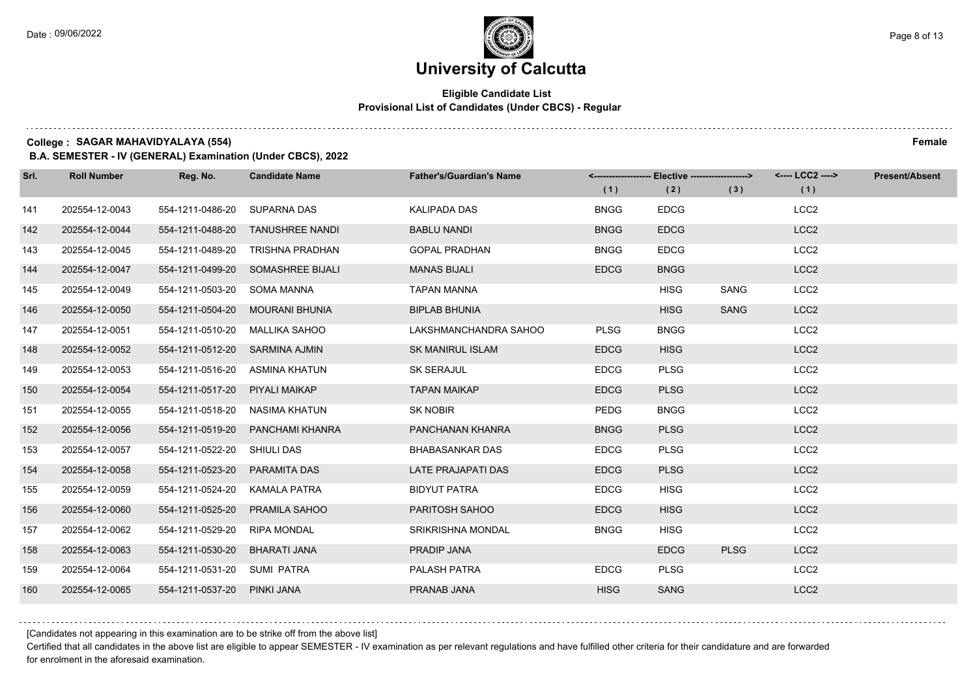### **Eligible Candidate List Provisional List of Candidates (Under CBCS) - Regular**

**College : SAGAR MAHAVIDYALAYA (554) Female**

**B.A. SEMESTER - IV (GENERAL) Examination (Under CBCS), 2022**

| Srl. | <b>Roll Number</b> | Reg. No.                       | <b>Candidate Name</b>             | <b>Father's/Guardian's Name</b> | (1)         | <-------------------- Elective -------------------><br>(2) | (3)         | <---- LCC2 ----><br>(1) | <b>Present/Absent</b> |
|------|--------------------|--------------------------------|-----------------------------------|---------------------------------|-------------|------------------------------------------------------------|-------------|-------------------------|-----------------------|
| 141  | 202554-12-0043     | 554-1211-0486-20               | <b>SUPARNA DAS</b>                | <b>KALIPADA DAS</b>             | <b>BNGG</b> | <b>EDCG</b>                                                |             | LCC <sub>2</sub>        |                       |
| 142  | 202554-12-0044     | 554-1211-0488-20               | <b>TANUSHREE NANDI</b>            | <b>BABLU NANDI</b>              | <b>BNGG</b> | <b>EDCG</b>                                                |             | LCC <sub>2</sub>        |                       |
| 143  | 202554-12-0045     | 554-1211-0489-20               | <b>TRISHNA PRADHAN</b>            | <b>GOPAL PRADHAN</b>            | <b>BNGG</b> | <b>EDCG</b>                                                |             | LCC <sub>2</sub>        |                       |
| 144  | 202554-12-0047     |                                | 554-1211-0499-20 SOMASHREE BIJALI | <b>MANAS BIJALI</b>             | <b>EDCG</b> | <b>BNGG</b>                                                |             | LCC <sub>2</sub>        |                       |
| 145  | 202554-12-0049     | 554-1211-0503-20               | <b>SOMA MANNA</b>                 | <b>TAPAN MANNA</b>              |             | <b>HISG</b>                                                | SANG        | LCC <sub>2</sub>        |                       |
| 146  | 202554-12-0050     | 554-1211-0504-20               | <b>MOURANI BHUNIA</b>             | <b>BIPLAB BHUNIA</b>            |             | <b>HISG</b>                                                | SANG        | LCC <sub>2</sub>        |                       |
| 147  | 202554-12-0051     | 554-1211-0510-20 MALLIKA SAHOO |                                   | LAKSHMANCHANDRA SAHOO           | <b>PLSG</b> | <b>BNGG</b>                                                |             | LCC <sub>2</sub>        |                       |
| 148  | 202554-12-0052     | 554-1211-0512-20 SARMINA AJMIN |                                   | <b>SK MANIRUL ISLAM</b>         | <b>EDCG</b> | <b>HISG</b>                                                |             | LCC <sub>2</sub>        |                       |
| 149  | 202554-12-0053     | 554-1211-0516-20               | ASMINA KHATUN                     | <b>SK SERAJUL</b>               | <b>EDCG</b> | <b>PLSG</b>                                                |             | LCC <sub>2</sub>        |                       |
| 150  | 202554-12-0054     | 554-1211-0517-20 PIYALI MAIKAP |                                   | <b>TAPAN MAIKAP</b>             | <b>EDCG</b> | <b>PLSG</b>                                                |             | LCC <sub>2</sub>        |                       |
| 151  | 202554-12-0055     | 554-1211-0518-20 NASIMA KHATUN |                                   | <b>SK NOBIR</b>                 | PEDG        | <b>BNGG</b>                                                |             | LCC <sub>2</sub>        |                       |
| 152  | 202554-12-0056     |                                | 554-1211-0519-20 PANCHAMI KHANRA  | PANCHANAN KHANRA                | <b>BNGG</b> | <b>PLSG</b>                                                |             | LCC <sub>2</sub>        |                       |
| 153  | 202554-12-0057     | 554-1211-0522-20 SHIULI DAS    |                                   | <b>BHABASANKAR DAS</b>          | <b>EDCG</b> | <b>PLSG</b>                                                |             | LCC <sub>2</sub>        |                       |
| 154  | 202554-12-0058     | 554-1211-0523-20 PARAMITA DAS  |                                   | <b>LATE PRAJAPATI DAS</b>       | <b>EDCG</b> | <b>PLSG</b>                                                |             | LCC <sub>2</sub>        |                       |
| 155  | 202554-12-0059     | 554-1211-0524-20 KAMALA PATRA  |                                   | <b>BIDYUT PATRA</b>             | <b>EDCG</b> | <b>HISG</b>                                                |             | LCC <sub>2</sub>        |                       |
| 156  | 202554-12-0060     | 554-1211-0525-20 PRAMILA SAHOO |                                   | PARITOSH SAHOO                  | <b>EDCG</b> | <b>HISG</b>                                                |             | LCC <sub>2</sub>        |                       |
| 157  | 202554-12-0062     | 554-1211-0529-20               | <b>RIPA MONDAL</b>                | SRIKRISHNA MONDAL               | <b>BNGG</b> | <b>HISG</b>                                                |             | LCC <sub>2</sub>        |                       |
| 158  | 202554-12-0063     | 554-1211-0530-20               | <b>BHARATI JANA</b>               | PRADIP JANA                     |             | <b>EDCG</b>                                                | <b>PLSG</b> | LCC <sub>2</sub>        |                       |
| 159  | 202554-12-0064     | 554-1211-0531-20 SUMI PATRA    |                                   | PALASH PATRA                    | <b>EDCG</b> | <b>PLSG</b>                                                |             | LCC <sub>2</sub>        |                       |
| 160  | 202554-12-0065     | 554-1211-0537-20 PINKI JANA    |                                   | PRANAB JANA                     | <b>HISG</b> | <b>SANG</b>                                                |             | LCC <sub>2</sub>        |                       |

[Candidates not appearing in this examination are to be strike off from the above list]

Certified that all candidates in the above list are eligible to appear SEMESTER - IV examination as per relevant regulations and have fulfilled other criteria for their candidature and are forwarded for enrolment in the aforesaid examination.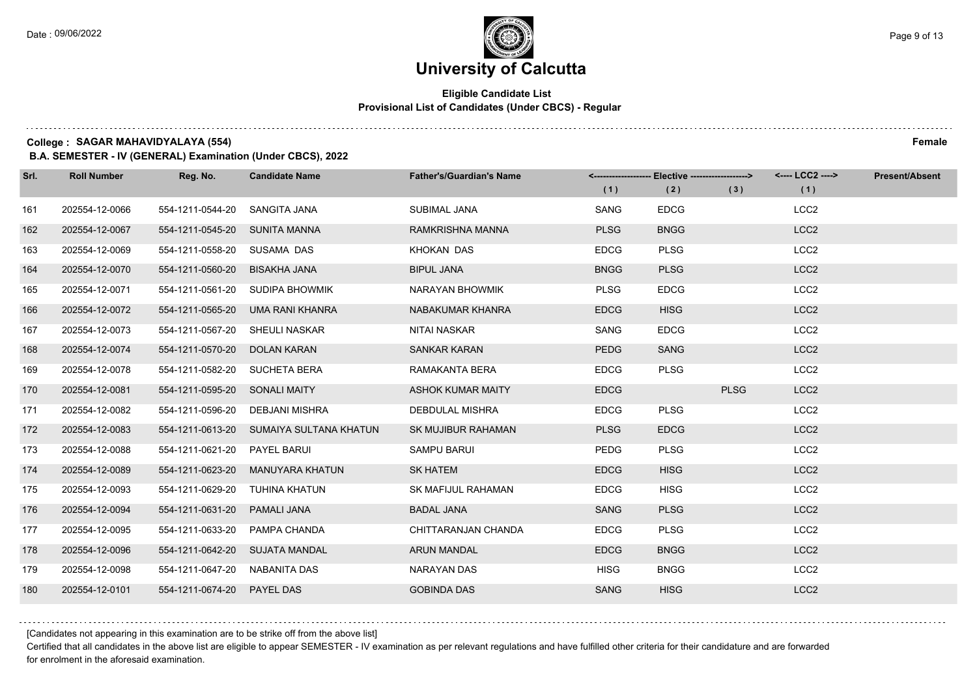$1.111$ 

# **University of Calcutta**

### **Eligible Candidate List Provisional List of Candidates (Under CBCS) - Regular**

**College : SAGAR MAHAVIDYALAYA (554) Female**

**B.A. SEMESTER - IV (GENERAL) Examination (Under CBCS), 2022**

| Srl. | <b>Roll Number</b> | Reg. No.                       | <b>Candidate Name</b>                   | <b>Father's/Guardian's Name</b> | (1)         | <-------------------- Elective -------------------><br>(2) | (3)         | <---- LCC2 ----><br>(1) | <b>Present/Absent</b> |
|------|--------------------|--------------------------------|-----------------------------------------|---------------------------------|-------------|------------------------------------------------------------|-------------|-------------------------|-----------------------|
| 161  | 202554-12-0066     | 554-1211-0544-20               | SANGITA JANA                            | SUBIMAL JANA                    | SANG        | <b>EDCG</b>                                                |             | LCC <sub>2</sub>        |                       |
| 162  | 202554-12-0067     | 554-1211-0545-20 SUNITA MANNA  |                                         | RAMKRISHNA MANNA                | <b>PLSG</b> | <b>BNGG</b>                                                |             | LCC <sub>2</sub>        |                       |
| 163  | 202554-12-0069     | 554-1211-0558-20 SUSAMA DAS    |                                         | KHOKAN DAS                      | <b>EDCG</b> | <b>PLSG</b>                                                |             | LCC <sub>2</sub>        |                       |
| 164  | 202554-12-0070     | 554-1211-0560-20               | BISAKHA JANA                            | <b>BIPUL JANA</b>               | <b>BNGG</b> | <b>PLSG</b>                                                |             | LCC <sub>2</sub>        |                       |
| 165  | 202554-12-0071     | 554-1211-0561-20               | SUDIPA BHOWMIK                          | NARAYAN BHOWMIK                 | <b>PLSG</b> | <b>EDCG</b>                                                |             | LCC <sub>2</sub>        |                       |
| 166  | 202554-12-0072     | 554-1211-0565-20               | UMA RANI KHANRA                         | NABAKUMAR KHANRA                | <b>EDCG</b> | <b>HISG</b>                                                |             | LCC <sub>2</sub>        |                       |
| 167  | 202554-12-0073     | 554-1211-0567-20 SHEULI NASKAR |                                         | NITAI NASKAR                    | SANG        | <b>EDCG</b>                                                |             | LCC <sub>2</sub>        |                       |
| 168  | 202554-12-0074     | 554-1211-0570-20               | DOLAN KARAN                             | <b>SANKAR KARAN</b>             | <b>PEDG</b> | <b>SANG</b>                                                |             | LCC <sub>2</sub>        |                       |
| 169  | 202554-12-0078     | 554-1211-0582-20               | <b>SUCHETA BERA</b>                     | RAMAKANTA BERA                  | <b>EDCG</b> | <b>PLSG</b>                                                |             | LCC <sub>2</sub>        |                       |
| 170  | 202554-12-0081     | 554-1211-0595-20 SONALI MAITY  |                                         | <b>ASHOK KUMAR MAITY</b>        | <b>EDCG</b> |                                                            | <b>PLSG</b> | LCC <sub>2</sub>        |                       |
| 171  | 202554-12-0082     | 554-1211-0596-20               | DEBJANI MISHRA                          | DEBDULAL MISHRA                 | <b>EDCG</b> | <b>PLSG</b>                                                |             | LCC <sub>2</sub>        |                       |
| 172  | 202554-12-0083     |                                | 554-1211-0613-20 SUMAIYA SULTANA KHATUN | SK MUJIBUR RAHAMAN              | <b>PLSG</b> | <b>EDCG</b>                                                |             | LCC <sub>2</sub>        |                       |
| 173  | 202554-12-0088     | 554-1211-0621-20               | <b>PAYEL BARUI</b>                      | <b>SAMPU BARUI</b>              | PEDG        | <b>PLSG</b>                                                |             | LCC <sub>2</sub>        |                       |
| 174  | 202554-12-0089     | 554-1211-0623-20               | MANUYARA KHATUN                         | <b>SK HATEM</b>                 | <b>EDCG</b> | <b>HISG</b>                                                |             | LCC <sub>2</sub>        |                       |
| 175  | 202554-12-0093     | 554-1211-0629-20               | TUHINA KHATUN                           | SK MAFIJUL RAHAMAN              | <b>EDCG</b> | <b>HISG</b>                                                |             | LCC <sub>2</sub>        |                       |
| 176  | 202554-12-0094     | 554-1211-0631-20               | PAMALI JANA                             | <b>BADAL JANA</b>               | <b>SANG</b> | <b>PLSG</b>                                                |             | LCC <sub>2</sub>        |                       |
| 177  | 202554-12-0095     | 554-1211-0633-20               | PAMPA CHANDA                            | CHITTARANJAN CHANDA             | <b>EDCG</b> | <b>PLSG</b>                                                |             | LCC <sub>2</sub>        |                       |
| 178  | 202554-12-0096     | 554-1211-0642-20 SUJATA MANDAL |                                         | <b>ARUN MANDAL</b>              | <b>EDCG</b> | <b>BNGG</b>                                                |             | LCC <sub>2</sub>        |                       |
| 179  | 202554-12-0098     | 554-1211-0647-20 NABANITA DAS  |                                         | <b>NARAYAN DAS</b>              | <b>HISG</b> | <b>BNGG</b>                                                |             | LCC <sub>2</sub>        |                       |
| 180  | 202554-12-0101     | 554-1211-0674-20 PAYEL DAS     |                                         | <b>GOBINDA DAS</b>              | <b>SANG</b> | <b>HISG</b>                                                |             | LCC <sub>2</sub>        |                       |

[Candidates not appearing in this examination are to be strike off from the above list]

Certified that all candidates in the above list are eligible to appear SEMESTER - IV examination as per relevant regulations and have fulfilled other criteria for their candidature and are forwarded for enrolment in the aforesaid examination.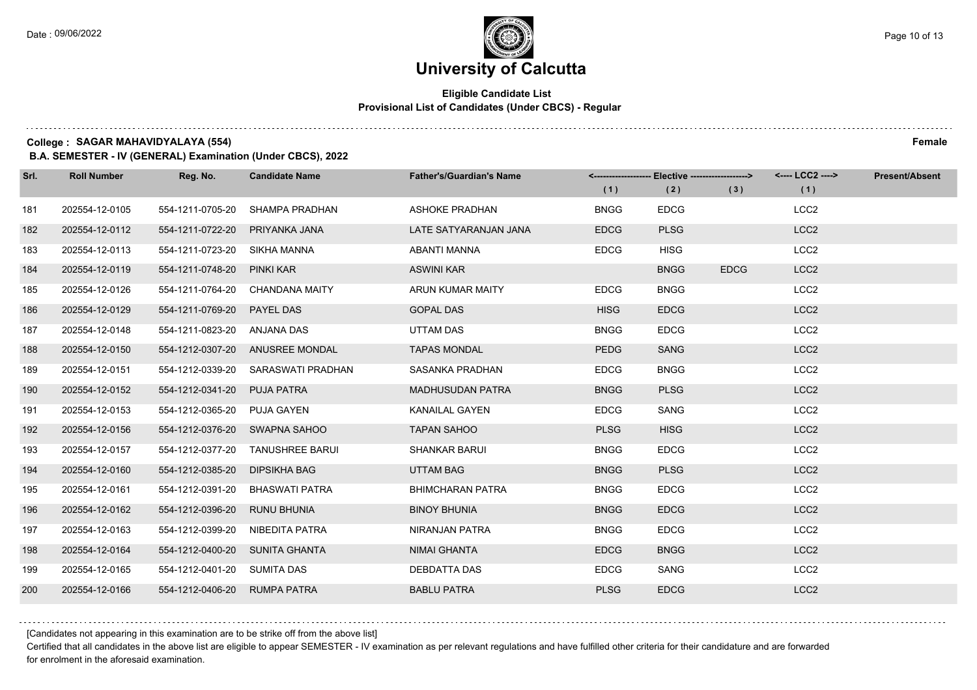### **Eligible Candidate List Provisional List of Candidates (Under CBCS) - Regular**

**College : SAGAR MAHAVIDYALAYA (554) Female**

**B.A. SEMESTER - IV (GENERAL) Examination (Under CBCS), 2022**

| Srl. | <b>Roll Number</b> | Reg. No.                       | <b>Candidate Name</b>           | <b>Father's/Guardian's Name</b> | (1)         | <-------------------- Elective -------------------><br>(2) | (3)         | <---- LCC2 ----><br>(1) | <b>Present/Absent</b> |
|------|--------------------|--------------------------------|---------------------------------|---------------------------------|-------------|------------------------------------------------------------|-------------|-------------------------|-----------------------|
| 181  | 202554-12-0105     | 554-1211-0705-20               | SHAMPA PRADHAN                  | <b>ASHOKE PRADHAN</b>           | <b>BNGG</b> | <b>EDCG</b>                                                |             | LCC <sub>2</sub>        |                       |
| 182  | 202554-12-0112     | 554-1211-0722-20               | PRIYANKA JANA                   | LATE SATYARANJAN JANA           | <b>EDCG</b> | <b>PLSG</b>                                                |             | LCC <sub>2</sub>        |                       |
| 183  | 202554-12-0113     | 554-1211-0723-20 SIKHA MANNA   |                                 | ABANTI MANNA                    | <b>EDCG</b> | <b>HISG</b>                                                |             | LCC <sub>2</sub>        |                       |
| 184  | 202554-12-0119     | 554-1211-0748-20 PINKI KAR     |                                 | <b>ASWINI KAR</b>               |             | <b>BNGG</b>                                                | <b>EDCG</b> | LCC <sub>2</sub>        |                       |
| 185  | 202554-12-0126     | 554-1211-0764-20               | <b>CHANDANA MAITY</b>           | ARUN KUMAR MAITY                | <b>EDCG</b> | <b>BNGG</b>                                                |             | LCC <sub>2</sub>        |                       |
| 186  | 202554-12-0129     | 554-1211-0769-20               | PAYEL DAS                       | <b>GOPAL DAS</b>                | <b>HISG</b> | <b>EDCG</b>                                                |             | LCC <sub>2</sub>        |                       |
| 187  | 202554-12-0148     | 554-1211-0823-20 ANJANA DAS    |                                 | <b>UTTAM DAS</b>                | <b>BNGG</b> | <b>EDCG</b>                                                |             | LCC <sub>2</sub>        |                       |
| 188  | 202554-12-0150     |                                | 554-1212-0307-20 ANUSREE MONDAL | <b>TAPAS MONDAL</b>             | <b>PEDG</b> | <b>SANG</b>                                                |             | LCC <sub>2</sub>        |                       |
| 189  | 202554-12-0151     | 554-1212-0339-20               | SARASWATI PRADHAN               | SASANKA PRADHAN                 | <b>EDCG</b> | <b>BNGG</b>                                                |             | LCC <sub>2</sub>        |                       |
| 190  | 202554-12-0152     | 554-1212-0341-20               | <b>PUJA PATRA</b>               | <b>MADHUSUDAN PATRA</b>         | <b>BNGG</b> | <b>PLSG</b>                                                |             | LCC <sub>2</sub>        |                       |
| 191  | 202554-12-0153     | 554-1212-0365-20 PUJA GAYEN    |                                 | KANAILAL GAYEN                  | <b>EDCG</b> | SANG                                                       |             | LCC <sub>2</sub>        |                       |
| 192  | 202554-12-0156     | 554-1212-0376-20 SWAPNA SAHOO  |                                 | <b>TAPAN SAHOO</b>              | <b>PLSG</b> | <b>HISG</b>                                                |             | LCC <sub>2</sub>        |                       |
| 193  | 202554-12-0157     | 554-1212-0377-20               | <b>TANUSHREE BARUI</b>          | <b>SHANKAR BARUI</b>            | <b>BNGG</b> | <b>EDCG</b>                                                |             | LCC <sub>2</sub>        |                       |
| 194  | 202554-12-0160     | 554-1212-0385-20               | DIPSIKHA BAG                    | <b>UTTAM BAG</b>                | <b>BNGG</b> | <b>PLSG</b>                                                |             | LCC <sub>2</sub>        |                       |
| 195  | 202554-12-0161     | 554-1212-0391-20               | <b>BHASWATI PATRA</b>           | <b>BHIMCHARAN PATRA</b>         | <b>BNGG</b> | <b>EDCG</b>                                                |             | LCC <sub>2</sub>        |                       |
| 196  | 202554-12-0162     | 554-1212-0396-20               | <b>RUNU BHUNIA</b>              | <b>BINOY BHUNIA</b>             | <b>BNGG</b> | <b>EDCG</b>                                                |             | LCC <sub>2</sub>        |                       |
| 197  | 202554-12-0163     | 554-1212-0399-20               | NIBEDITA PATRA                  | NIRANJAN PATRA                  | <b>BNGG</b> | <b>EDCG</b>                                                |             | LCC <sub>2</sub>        |                       |
| 198  | 202554-12-0164     | 554-1212-0400-20 SUNITA GHANTA |                                 | <b>NIMAI GHANTA</b>             | <b>EDCG</b> | <b>BNGG</b>                                                |             | LCC <sub>2</sub>        |                       |
| 199  | 202554-12-0165     | 554-1212-0401-20 SUMITA DAS    |                                 | DEBDATTA DAS                    | <b>EDCG</b> | SANG                                                       |             | LCC <sub>2</sub>        |                       |
| 200  | 202554-12-0166     | 554-1212-0406-20 RUMPA PATRA   |                                 | <b>BABLU PATRA</b>              | <b>PLSG</b> | <b>EDCG</b>                                                |             | LCC <sub>2</sub>        |                       |

[Candidates not appearing in this examination are to be strike off from the above list]

Certified that all candidates in the above list are eligible to appear SEMESTER - IV examination as per relevant regulations and have fulfilled other criteria for their candidature and are forwarded for enrolment in the aforesaid examination.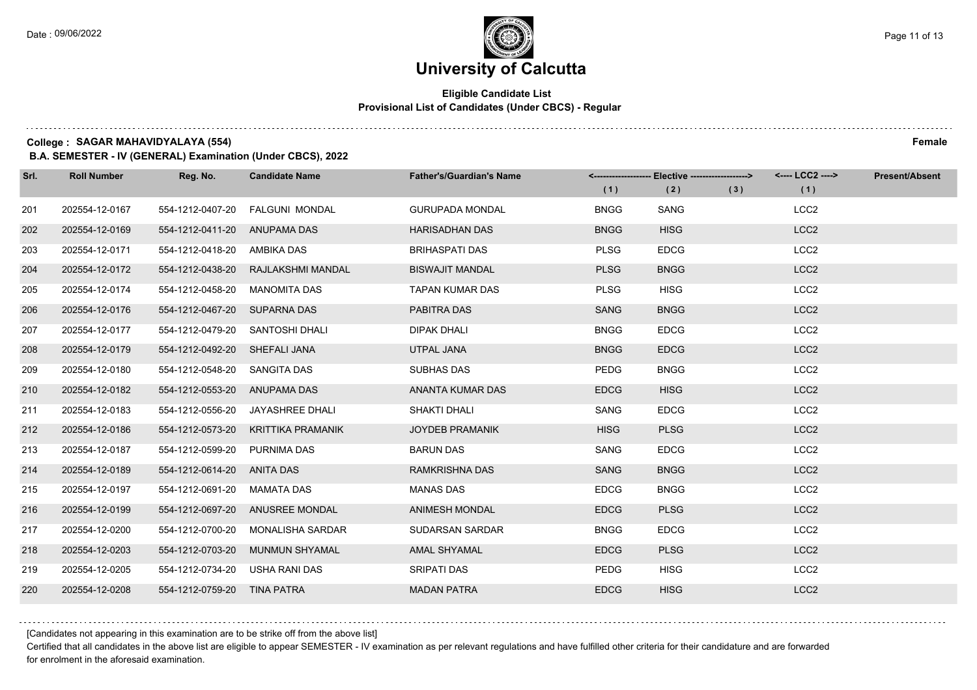### **Eligible Candidate List Provisional List of Candidates (Under CBCS) - Regular**

**College : SAGAR MAHAVIDYALAYA (554) Female**

**B.A. SEMESTER - IV (GENERAL) Examination (Under CBCS), 2022**

| Srl. | <b>Roll Number</b> | Reg. No.                        | <b>Candidate Name</b>              | <b>Father's/Guardian's Name</b> | (1)         | <-------------------- Elective ------------------><br>(2) | (3) | <---- LCC2 ----><br>(1) | <b>Present/Absent</b> |
|------|--------------------|---------------------------------|------------------------------------|---------------------------------|-------------|-----------------------------------------------------------|-----|-------------------------|-----------------------|
| 201  | 202554-12-0167     | 554-1212-0407-20                | FALGUNI MONDAL                     | <b>GURUPADA MONDAL</b>          | <b>BNGG</b> | <b>SANG</b>                                               |     | LCC <sub>2</sub>        |                       |
| 202  | 202554-12-0169     | 554-1212-0411-20 ANUPAMA DAS    |                                    | <b>HARISADHAN DAS</b>           | <b>BNGG</b> | <b>HISG</b>                                               |     | LCC <sub>2</sub>        |                       |
| 203  | 202554-12-0171     | 554-1212-0418-20                | AMBIKA DAS                         | <b>BRIHASPATI DAS</b>           | <b>PLSG</b> | <b>EDCG</b>                                               |     | LCC <sub>2</sub>        |                       |
| 204  | 202554-12-0172     |                                 | 554-1212-0438-20 RAJLAKSHMI MANDAL | <b>BISWAJIT MANDAL</b>          | <b>PLSG</b> | <b>BNGG</b>                                               |     | LCC <sub>2</sub>        |                       |
| 205  | 202554-12-0174     | 554-1212-0458-20                | <b>MANOMITA DAS</b>                | <b>TAPAN KUMAR DAS</b>          | <b>PLSG</b> | <b>HISG</b>                                               |     | LCC <sub>2</sub>        |                       |
| 206  | 202554-12-0176     | 554-1212-0467-20                | <b>SUPARNA DAS</b>                 | PABITRA DAS                     | <b>SANG</b> | <b>BNGG</b>                                               |     | LCC <sub>2</sub>        |                       |
| 207  | 202554-12-0177     | 554-1212-0479-20 SANTOSHI DHALI |                                    | <b>DIPAK DHALI</b>              | <b>BNGG</b> | <b>EDCG</b>                                               |     | LCC <sub>2</sub>        |                       |
| 208  | 202554-12-0179     | 554-1212-0492-20 SHEFALI JANA   |                                    | UTPAL JANA                      | <b>BNGG</b> | <b>EDCG</b>                                               |     | LCC <sub>2</sub>        |                       |
| 209  | 202554-12-0180     | 554-1212-0548-20                | SANGITA DAS                        | SUBHAS DAS                      | PEDG        | <b>BNGG</b>                                               |     | LCC <sub>2</sub>        |                       |
| 210  | 202554-12-0182     | 554-1212-0553-20 ANUPAMA DAS    |                                    | ANANTA KUMAR DAS                | <b>EDCG</b> | <b>HISG</b>                                               |     | LCC <sub>2</sub>        |                       |
| 211  | 202554-12-0183     | 554-1212-0556-20                | JAYASHREE DHALI                    | SHAKTI DHALI                    | SANG        | <b>EDCG</b>                                               |     | LCC <sub>2</sub>        |                       |
| 212  | 202554-12-0186     | 554-1212-0573-20                | KRITTIKA PRAMANIK                  | <b>JOYDEB PRAMANIK</b>          | <b>HISG</b> | <b>PLSG</b>                                               |     | LCC <sub>2</sub>        |                       |
| 213  | 202554-12-0187     | 554-1212-0599-20                | PURNIMA DAS                        | <b>BARUN DAS</b>                | SANG        | <b>EDCG</b>                                               |     | LCC <sub>2</sub>        |                       |
| 214  | 202554-12-0189     | 554-1212-0614-20 ANITA DAS      |                                    | <b>RAMKRISHNA DAS</b>           | <b>SANG</b> | <b>BNGG</b>                                               |     | LCC <sub>2</sub>        |                       |
| 215  | 202554-12-0197     | 554-1212-0691-20                | MAMATA DAS                         | <b>MANAS DAS</b>                | <b>EDCG</b> | <b>BNGG</b>                                               |     | LCC <sub>2</sub>        |                       |
| 216  | 202554-12-0199     |                                 | 554-1212-0697-20 ANUSREE MONDAL    | <b>ANIMESH MONDAL</b>           | <b>EDCG</b> | <b>PLSG</b>                                               |     | LCC <sub>2</sub>        |                       |
| 217  | 202554-12-0200     | 554-1212-0700-20                | <b>MONALISHA SARDAR</b>            | <b>SUDARSAN SARDAR</b>          | <b>BNGG</b> | <b>EDCG</b>                                               |     | LCC <sub>2</sub>        |                       |
| 218  | 202554-12-0203     | 554-1212-0703-20                | <b>MUNMUN SHYAMAL</b>              | <b>AMAL SHYAMAL</b>             | <b>EDCG</b> | <b>PLSG</b>                                               |     | LCC <sub>2</sub>        |                       |
| 219  | 202554-12-0205     | 554-1212-0734-20                | USHA RANI DAS                      | <b>SRIPATI DAS</b>              | <b>PEDG</b> | <b>HISG</b>                                               |     | LCC <sub>2</sub>        |                       |
| 220  | 202554-12-0208     | 554-1212-0759-20                | TINA PATRA                         | <b>MADAN PATRA</b>              | <b>EDCG</b> | <b>HISG</b>                                               |     | LCC <sub>2</sub>        |                       |

[Candidates not appearing in this examination are to be strike off from the above list]

Certified that all candidates in the above list are eligible to appear SEMESTER - IV examination as per relevant regulations and have fulfilled other criteria for their candidature and are forwarded for enrolment in the aforesaid examination.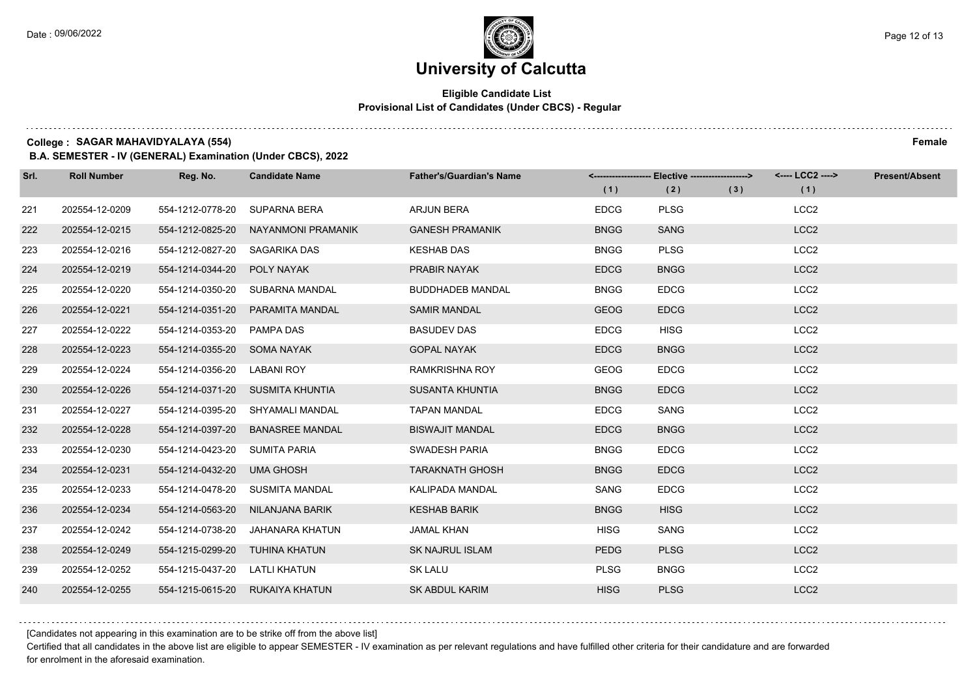### **Eligible Candidate List Provisional List of Candidates (Under CBCS) - Regular**

**College : SAGAR MAHAVIDYALAYA (554) Female**

**B.A. SEMESTER - IV (GENERAL) Examination (Under CBCS), 2022**

| Srl. | <b>Roll Number</b> | Reg. No.                      | <b>Candidate Name</b>            | <b>Father's/Guardian's Name</b> | (1)         | <-------------------- Elective ------------------><br>(2) | (3) | <---- LCC2 ----><br>(1) | <b>Present/Absent</b> |
|------|--------------------|-------------------------------|----------------------------------|---------------------------------|-------------|-----------------------------------------------------------|-----|-------------------------|-----------------------|
| 221  | 202554-12-0209     | 554-1212-0778-20              | <b>SUPARNA BERA</b>              | <b>ARJUN BERA</b>               | <b>EDCG</b> | <b>PLSG</b>                                               |     | LCC <sub>2</sub>        |                       |
| 222  | 202554-12-0215     | 554-1212-0825-20              | NAYANMONI PRAMANIK               | <b>GANESH PRAMANIK</b>          | <b>BNGG</b> | <b>SANG</b>                                               |     | LCC <sub>2</sub>        |                       |
| 223  | 202554-12-0216     | 554-1212-0827-20 SAGARIKA DAS |                                  | <b>KESHAB DAS</b>               | <b>BNGG</b> | <b>PLSG</b>                                               |     | LCC <sub>2</sub>        |                       |
| 224  | 202554-12-0219     | 554-1214-0344-20              | POLY NAYAK                       | <b>PRABIR NAYAK</b>             | <b>EDCG</b> | <b>BNGG</b>                                               |     | LCC <sub>2</sub>        |                       |
| 225  | 202554-12-0220     | 554-1214-0350-20              | SUBARNA MANDAL                   | <b>BUDDHADEB MANDAL</b>         | <b>BNGG</b> | <b>EDCG</b>                                               |     | LCC <sub>2</sub>        |                       |
| 226  | 202554-12-0221     | 554-1214-0351-20              | PARAMITA MANDAL                  | <b>SAMIR MANDAL</b>             | <b>GEOG</b> | <b>EDCG</b>                                               |     | LCC <sub>2</sub>        |                       |
| 227  | 202554-12-0222     | 554-1214-0353-20 PAMPA DAS    |                                  | <b>BASUDEV DAS</b>              | <b>EDCG</b> | <b>HISG</b>                                               |     | LCC <sub>2</sub>        |                       |
| 228  | 202554-12-0223     | 554-1214-0355-20 SOMA NAYAK   |                                  | <b>GOPAL NAYAK</b>              | <b>EDCG</b> | <b>BNGG</b>                                               |     | LCC <sub>2</sub>        |                       |
| 229  | 202554-12-0224     | 554-1214-0356-20              | LABANI ROY                       | <b>RAMKRISHNA ROY</b>           | <b>GEOG</b> | <b>EDCG</b>                                               |     | LCC <sub>2</sub>        |                       |
| 230  | 202554-12-0226     |                               | 554-1214-0371-20 SUSMITA KHUNTIA | SUSANTA KHUNTIA                 | <b>BNGG</b> | <b>EDCG</b>                                               |     | LCC <sub>2</sub>        |                       |
| 231  | 202554-12-0227     |                               | 554-1214-0395-20 SHYAMALI MANDAL | <b>TAPAN MANDAL</b>             | <b>EDCG</b> | SANG                                                      |     | LCC <sub>2</sub>        |                       |
| 232  | 202554-12-0228     | 554-1214-0397-20              | <b>BANASREE MANDAL</b>           | <b>BISWAJIT MANDAL</b>          | <b>EDCG</b> | <b>BNGG</b>                                               |     | LCC <sub>2</sub>        |                       |
| 233  | 202554-12-0230     | 554-1214-0423-20              | SUMITA PARIA                     | SWADESH PARIA                   | <b>BNGG</b> | <b>EDCG</b>                                               |     | LCC <sub>2</sub>        |                       |
| 234  | 202554-12-0231     | 554-1214-0432-20              | <b>UMA GHOSH</b>                 | <b>TARAKNATH GHOSH</b>          | <b>BNGG</b> | <b>EDCG</b>                                               |     | LCC <sub>2</sub>        |                       |
| 235  | 202554-12-0233     |                               | 554-1214-0478-20 SUSMITA MANDAL  | KALIPADA MANDAL                 | <b>SANG</b> | <b>EDCG</b>                                               |     | LCC <sub>2</sub>        |                       |
| 236  | 202554-12-0234     | 554-1214-0563-20              | NILANJANA BARIK                  | <b>KESHAB BARIK</b>             | <b>BNGG</b> | <b>HISG</b>                                               |     | LCC <sub>2</sub>        |                       |
| 237  | 202554-12-0242     | 554-1214-0738-20              | JAHANARA KHATUN                  | <b>JAMAL KHAN</b>               | <b>HISG</b> | SANG                                                      |     | LCC <sub>2</sub>        |                       |
| 238  | 202554-12-0249     | 554-1215-0299-20              | TUHINA KHATUN                    | <b>SK NAJRUL ISLAM</b>          | <b>PEDG</b> | <b>PLSG</b>                                               |     | LCC <sub>2</sub>        |                       |
| 239  | 202554-12-0252     | 554-1215-0437-20              | LATLI KHATUN                     | <b>SK LALU</b>                  | <b>PLSG</b> | <b>BNGG</b>                                               |     | LCC <sub>2</sub>        |                       |
| 240  | 202554-12-0255     |                               | 554-1215-0615-20 RUKAIYA KHATUN  | <b>SK ABDUL KARIM</b>           | <b>HISG</b> | <b>PLSG</b>                                               |     | LCC <sub>2</sub>        |                       |

[Candidates not appearing in this examination are to be strike off from the above list]

Certified that all candidates in the above list are eligible to appear SEMESTER - IV examination as per relevant regulations and have fulfilled other criteria for their candidature and are forwarded for enrolment in the aforesaid examination.